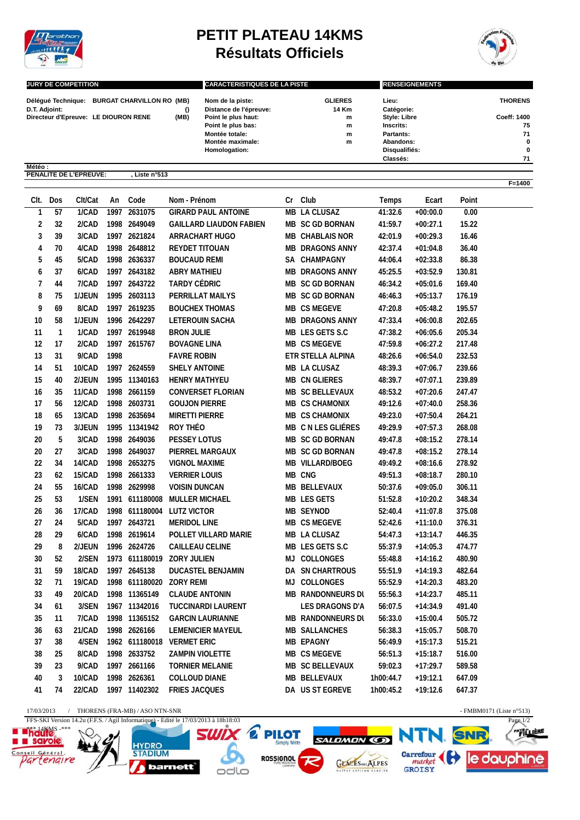

**Météo : PENALITE DE L'EPREUVE: , Liste n°513**

## **PETIT PLATEAU 14KMS Résultats Officiels**



**F=1400**

| <b>JURY DE COMPETITION</b>           |                                  |      | <b>CARACTERISTIQUES DE LA PISTE</b> |                | <b>RENSEIGNEMENTS</b> |                |  |
|--------------------------------------|----------------------------------|------|-------------------------------------|----------------|-----------------------|----------------|--|
| Délégué Technique:                   | <b>BURGAT CHARVILLON RO (MB)</b> |      | Nom de la piste:                    | <b>GLIERES</b> | Lieu:                 | <b>THORENS</b> |  |
| D.T. Adjoint:                        |                                  |      | Distance de l'épreuve:              | 14 Km          | Catégorie:            |                |  |
| Directeur d'Epreuve: LE DIOURON RENE |                                  | (MB) | Point le plus haut:                 | m              | <b>Style: Libre</b>   | Coeff: 1400    |  |
|                                      |                                  |      | Point le plus bas:                  | m              | Inscrits:             | 75             |  |
|                                      |                                  |      | Montée totale:                      | m              | Partants:             | 71             |  |
|                                      |                                  |      | Montée maximale:                    | m              | Abandons:             | $\bf{0}$       |  |
|                                      |                                  |      | Homologation:                       |                | Disqualifiés:         | 0              |  |
|                                      |                                  |      |                                     |                | Classés:              | 71             |  |

| CIt.             | Dos | Clt/Cat       | An   | Code           | Nom - Prénom                   | Cr        | Club                     | Temps     | Ecart      | Point  |  |
|------------------|-----|---------------|------|----------------|--------------------------------|-----------|--------------------------|-----------|------------|--------|--|
| $\mathbf{1}$     | 57  | 1/CAD         |      | 1997 2631075   | <b>GIRARD PAUL ANTOINE</b>     |           | <b>MB LA CLUSAZ</b>      | 41:32.6   | $+00:00.0$ | 0.00   |  |
| $\boldsymbol{2}$ | 32  | 2/CAD         |      | 1998 2649049   | <b>GAILLARD LIAUDON FABIEN</b> |           | MB SC GD BORNAN          | 41:59.7   | $+00:27.1$ | 15.22  |  |
| $\sqrt{3}$       | 39  | 3/CAD         |      | 1997 2621824   | <b>ARRACHART HUGO</b>          |           | <b>MB CHABLAIS NOR</b>   | 42:01.9   | $+00:29.3$ | 16.46  |  |
| 4                | 70  | 4/CAD         |      | 1998 2648812   | <b>REYDET TITOUAN</b>          |           | <b>MB DRAGONS ANNY</b>   | 42:37.4   | $+01:04.8$ | 36.40  |  |
| 5                | 45  | 5/CAD         |      | 1998 2636337   | <b>BOUCAUD REMI</b>            |           | SA CHAMPAGNY             | 44:06.4   | $+02:33.8$ | 86.38  |  |
| 6                | 37  | 6/CAD         |      | 1997 2643182   | <b>ABRY MATHIEU</b>            |           | <b>MB DRAGONS ANNY</b>   | 45:25.5   | $+03:52.9$ | 130.81 |  |
| $\overline{1}$   | 44  | 7/CAD         |      | 1997 2643722   | TARDY CÉDRIC                   |           | <b>MB SC GD BORNAN</b>   | 46:34.2   | $+05:01.6$ | 169.40 |  |
| 8                | 75  | 1/JEUN        |      | 1995 2603113   | PERRILLAT MAILYS               |           | MB SC GD BORNAN          | 46:46.3   | $+05:13.7$ | 176.19 |  |
| 9                | 69  | 8/CAD         |      | 1997 2619235   | <b>BOUCHEX THOMAS</b>          |           | <b>MB CS MEGEVE</b>      | 47:20.8   | $+05:48.2$ | 195.57 |  |
| 10               | 58  | 1/JEUN        |      | 1996 2642297   | <b>LETEROUIN SACHA</b>         |           | <b>MB DRAGONS ANNY</b>   | 47:33.4   | $+06:00.8$ | 202.65 |  |
| 11               | 1   | 1/CAD         |      | 1997 2619948   | <b>BRON JULIE</b>              |           | MB LES GETS S.C          | 47:38.2   | $+06:05.6$ | 205.34 |  |
| 12               | 17  | 2/CAD         |      | 1997 2615767   | <b>BOVAGNE LINA</b>            |           | <b>MB CS MEGEVE</b>      | 47:59.8   | $+06:27.2$ | 217.48 |  |
| 13               | 31  | 9/CAD         | 1998 |                | <b>FAVRE ROBIN</b>             |           | ETR STELLA ALPINA        | 48:26.6   | $+06:54.0$ | 232.53 |  |
| 14               | 51  | 10/CAD        |      | 1997 2624559   | <b>SHELY ANTOINE</b>           |           | MB LA CLUSAZ             | 48:39.3   | $+07:06.7$ | 239.66 |  |
| 15               | 40  | 2/JEUN        |      | 1995 11340163  | <b>HENRY MATHYEU</b>           |           | <b>MB CN GLIERES</b>     | 48:39.7   | $+07:07.1$ | 239.89 |  |
| 16               | 35  | 11/CAD        |      | 1998 2661159   | <b>CONVERSET FLORIAN</b>       |           | MB SC BELLEVAUX          | 48:53.2   | $+07:20.6$ | 247.47 |  |
| 17               | 56  | <b>12/CAD</b> |      | 1998 2603731   | <b>GOUJON PIERRE</b>           |           | MB CS CHAMONIX           | 49:12.6   | $+07:40.0$ | 258.36 |  |
| 18               | 65  | 13/CAD        |      | 1998 2635694   | <b>MIRETTI PIERRE</b>          |           | <b>MB CS CHAMONIX</b>    | 49:23.0   | $+07:50.4$ | 264.21 |  |
| 19               | 73  | 3/JEUN        |      | 1995 11341942  | ROY THÉO                       |           | MB C N LES GLIÉRES       | 49:29.9   | $+07:57.3$ | 268.08 |  |
| 20               | 5   | 3/CAD         |      | 1998 2649036   | <b>PESSEY LOTUS</b>            |           | MB SC GD BORNAN          | 49:47.8   | $+08:15.2$ | 278.14 |  |
| 20               | 27  | 3/CAD         |      | 1998 2649037   | PIERREL MARGAUX                |           | MB SC GD BORNAN          | 49:47.8   | $+08:15.2$ | 278.14 |  |
| 22               | 34  | 14/CAD        |      | 1998 2653275   | <b>VIGNOL MAXIME</b>           |           | <b>MB VILLARD/BOEG</b>   | 49:49.2   | $+08:16.6$ | 278.92 |  |
| 23               | 62  | 15/CAD        |      | 1998 2661333   | <b>VERRIER LOUIS</b>           |           | MB CNG                   | 49:51.3   | $+08:18.7$ | 280.10 |  |
| 24               | 55  | 16/CAD        |      | 1998 2629998   | <b>VOISIN DUNCAN</b>           |           | MB BELLEVAUX             | 50:37.6   | $+09:05.0$ | 306.11 |  |
| 25               | 53  | 1/SEN         |      | 1991 611180008 | <b>MULLER MICHAEL</b>          |           | <b>MB LES GETS</b>       | 51:52.8   | $+10:20.2$ | 348.34 |  |
| 26               | 36  | <b>17/CAD</b> |      | 1998 611180004 | <b>LUTZ VICTOR</b>             |           | <b>MB SEYNOD</b>         | 52:40.4   | $+11:07.8$ | 375.08 |  |
| 27               | 24  | 5/CAD         |      | 1997 2643721   | <b>MERIDOL LINE</b>            |           | MB CS MEGEVE             | 52:42.6   | $+11:10.0$ | 376.31 |  |
| 28               | 29  | 6/CAD         |      | 1998 2619614   | POLLET VILLARD MARIE           |           | MB LA CLUSAZ             | 54:47.3   | $+13:14.7$ | 446.35 |  |
| 29               | 8   | 2/JEUN        |      | 1996 2624726   | <b>CAILLEAU CELINE</b>         |           | MB LES GETS S.C          | 55:37.9   | $+14:05.3$ | 474.77 |  |
| 30               | 52  | 2/SEN         |      |                | 1973 611180019 ZORY JULIEN     |           | MJ COLLONGES             | 55:48.8   | $+14:16.2$ | 480.90 |  |
| 31               | 59  | 18/CAD        |      | 1997 2645138   | DUCASTEL BENJAMIN              |           | DA SN CHARTROUS          | 55:51.9   | $+14:19.3$ | 482.64 |  |
| 32               | 71  | 19/CAD        |      | 1998 611180020 | ZORY REMI                      | <b>LM</b> | COLLONGES                | 55:52.9   | $+14:20.3$ | 483.20 |  |
| 33               | 49  | 20/CAD        |      | 1998 11365149  | <b>CLAUDE ANTONIN</b>          |           | <b>MB RANDONNEURS DI</b> | 55:56.3   | $+14:23.7$ | 485.11 |  |
| 34               | 61  | 3/SEN         |      | 1967 11342016  | <b>TUCCINARDI LAURENT</b>      |           | LES DRAGONS D'A          | 56:07.5   | $+14:34.9$ | 491.40 |  |
| 35               | 11  | 7/CAD         |      | 1998 11365152  | <b>GARCIN LAURIANNE</b>        |           | <b>MB RANDONNEURS DL</b> | 56:33.0   | $+15:00.4$ | 505.72 |  |
| 36               | 63  | 21/CAD        |      | 1998 2626166   | <b>LEMENICIER MAYEUL</b>       |           | <b>MB SALLANCHES</b>     | 56:38.3   | $+15:05.7$ | 508.70 |  |
| 37               | 38  | 4/SEN         |      |                | 1962 611180018 VERMET ERIC     |           | <b>MB EPAGNY</b>         | 56:49.9   | $+15:17.3$ | 515.21 |  |
| 38               | 25  | 8/CAD         |      | 1998 2633752   | <b>ZAMPIN VIOLETTE</b>         |           | <b>MB CS MEGEVE</b>      | 56:51.3   | $+15:18.7$ | 516.00 |  |
| 39               | 23  | 9/CAD         |      | 1997 2661166   | <b>TORNIER MELANIE</b>         |           | MB SC BELLEVAUX          | 59:02.3   | $+17:29.7$ | 589.58 |  |
| 40               | 3   | 10/CAD        |      | 1998 2626361   | <b>COLLOUD DIANE</b>           |           | MB BELLEVAUX             | 1h00:44.7 | $+19:12.1$ | 647.09 |  |
| 41               | 74  | 22/CAD        |      | 1997 11402302  | <b>FRIES JACQUES</b>           |           | DA US ST EGREVE          | 1h00:45.2 | $+19:12.6$ | 647.37 |  |